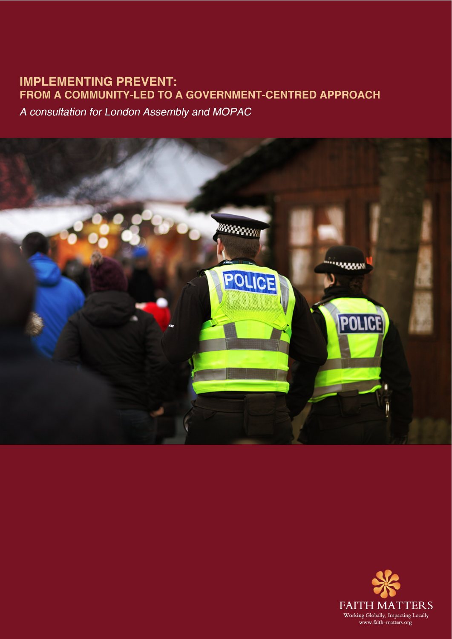# **IMPLEMENTING PREVENT:** FROM A COMMUNITY-LED TO A GOVERNMENT-CENTRED APPROACH

A consultation for London Assembly and MOPAC



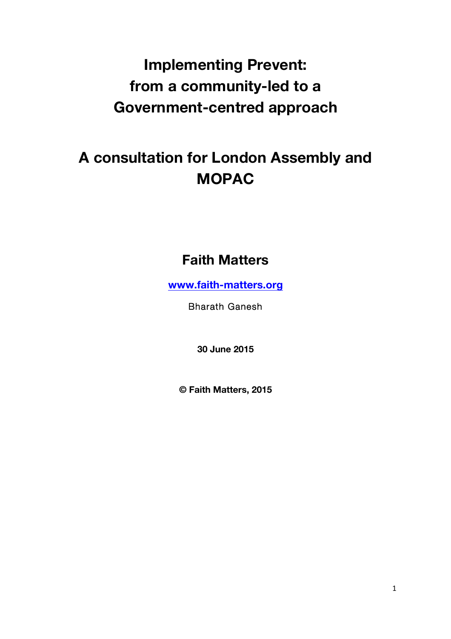# **Implementing Prevent: from a community-led to a Government-centred approach**

# **A consultation for London Assembly and MOPAC**

# **Faith Matters**

**www.faith-matters.org**

Bharath Ganesh

**30 June 2015**

**© Faith Matters, 2015**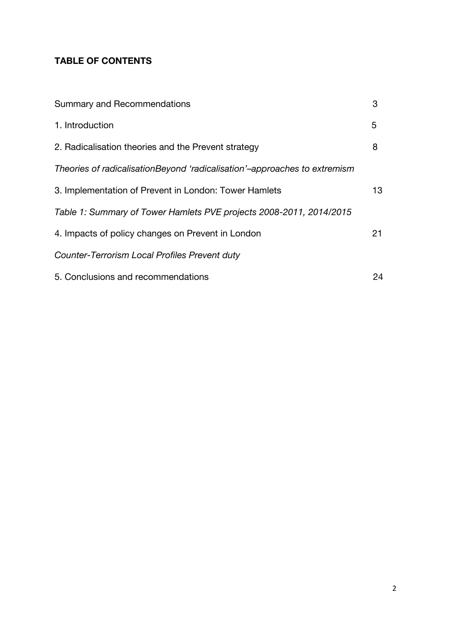## **TABLE OF CONTENTS**

| <b>Summary and Recommendations</b>                                        | 3  |
|---------------------------------------------------------------------------|----|
| 1. Introduction                                                           | 5  |
| 2. Radicalisation theories and the Prevent strategy                       | 8  |
| Theories of radicalisationBeyond 'radicalisation'-approaches to extremism |    |
| 3. Implementation of Prevent in London: Tower Hamlets                     | 13 |
| Table 1: Summary of Tower Hamlets PVE projects 2008-2011, 2014/2015       |    |
| 4. Impacts of policy changes on Prevent in London                         | 21 |
| Counter-Terrorism Local Profiles Prevent duty                             |    |
| 5. Conclusions and recommendations                                        | 24 |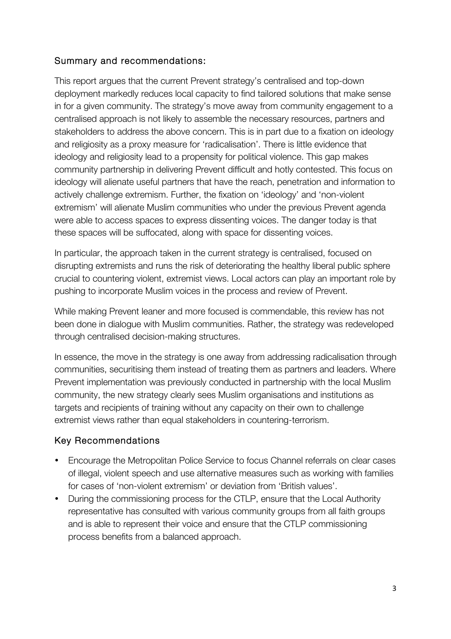#### Summary and recommendations:

This report argues that the current Prevent strategy's centralised and top-down deployment markedly reduces local capacity to find tailored solutions that make sense in for a given community. The strategy's move away from community engagement to a centralised approach is not likely to assemble the necessary resources, partners and stakeholders to address the above concern. This is in part due to a fixation on ideology and religiosity as a proxy measure for 'radicalisation'. There is little evidence that ideology and religiosity lead to a propensity for political violence. This gap makes community partnership in delivering Prevent difficult and hotly contested. This focus on ideology will alienate useful partners that have the reach, penetration and information to actively challenge extremism. Further, the fixation on 'ideology' and 'non-violent extremism' will alienate Muslim communities who under the previous Prevent agenda were able to access spaces to express dissenting voices. The danger today is that these spaces will be suffocated, along with space for dissenting voices.

In particular, the approach taken in the current strategy is centralised, focused on disrupting extremists and runs the risk of deteriorating the healthy liberal public sphere crucial to countering violent, extremist views. Local actors can play an important role by pushing to incorporate Muslim voices in the process and review of Prevent.

While making Prevent leaner and more focused is commendable, this review has not been done in dialogue with Muslim communities. Rather, the strategy was redeveloped through centralised decision-making structures.

In essence, the move in the strategy is one away from addressing radicalisation through communities, securitising them instead of treating them as partners and leaders. Where Prevent implementation was previously conducted in partnership with the local Muslim community, the new strategy clearly sees Muslim organisations and institutions as targets and recipients of training without any capacity on their own to challenge extremist views rather than equal stakeholders in countering-terrorism.

#### Key Recommendations

- Encourage the Metropolitan Police Service to focus Channel referrals on clear cases of illegal, violent speech and use alternative measures such as working with families for cases of 'non-violent extremism' or deviation from 'British values'.
- During the commissioning process for the CTLP, ensure that the Local Authority representative has consulted with various community groups from all faith groups and is able to represent their voice and ensure that the CTLP commissioning process benefits from a balanced approach.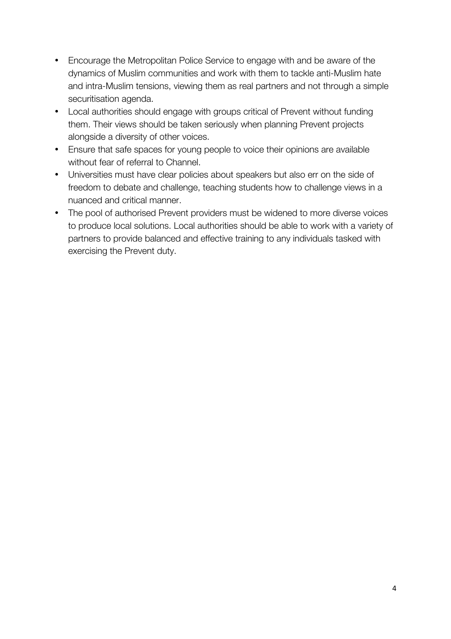- Encourage the Metropolitan Police Service to engage with and be aware of the dynamics of Muslim communities and work with them to tackle anti-Muslim hate and intra-Muslim tensions, viewing them as real partners and not through a simple securitisation agenda.
- Local authorities should engage with groups critical of Prevent without funding them. Their views should be taken seriously when planning Prevent projects alongside a diversity of other voices.
- Ensure that safe spaces for young people to voice their opinions are available without fear of referral to Channel.
- Universities must have clear policies about speakers but also err on the side of freedom to debate and challenge, teaching students how to challenge views in a nuanced and critical manner.
- The pool of authorised Prevent providers must be widened to more diverse voices to produce local solutions. Local authorities should be able to work with a variety of partners to provide balanced and effective training to any individuals tasked with exercising the Prevent duty.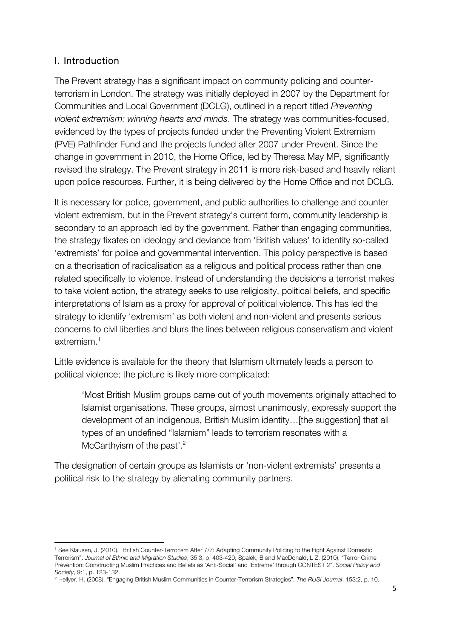### I. Introduction

The Prevent strategy has a significant impact on community policing and counterterrorism in London. The strategy was initially deployed in 2007 by the Department for Communities and Local Government (DCLG), outlined in a report titled *Preventing violent extremism: winning hearts and minds*. The strategy was communities-focused, evidenced by the types of projects funded under the Preventing Violent Extremism (PVE) Pathfinder Fund and the projects funded after 2007 under Prevent. Since the change in government in 2010, the Home Office, led by Theresa May MP, significantly revised the strategy. The Prevent strategy in 2011 is more risk-based and heavily reliant upon police resources. Further, it is being delivered by the Home Office and not DCLG.

It is necessary for police, government, and public authorities to challenge and counter violent extremism, but in the Prevent strategy's current form, community leadership is secondary to an approach led by the government. Rather than engaging communities, the strategy fixates on ideology and deviance from 'British values' to identify so-called 'extremists' for police and governmental intervention. This policy perspective is based on a theorisation of radicalisation as a religious and political process rather than one related specifically to violence. Instead of understanding the decisions a terrorist makes to take violent action, the strategy seeks to use religiosity, political beliefs, and specific interpretations of Islam as a proxy for approval of political violence. This has led the strategy to identify 'extremism' as both violent and non-violent and presents serious concerns to civil liberties and blurs the lines between religious conservatism and violent extremism. 1

Little evidence is available for the theory that Islamism ultimately leads a person to political violence; the picture is likely more complicated:

'Most British Muslim groups came out of youth movements originally attached to Islamist organisations. These groups, almost unanimously, expressly support the development of an indigenous, British Muslim identity…[the suggestion] that all types of an undefined "Islamism" leads to terrorism resonates with a McCarthyism of the past'.<sup>2</sup>

The designation of certain groups as Islamists or 'non-violent extremists' presents a political risk to the strategy by alienating community partners.

<sup>1</sup> See Klausen, J. (2010). "British Counter-Terrorism After 7/7: Adapting Community Policing to the Fight Against Domestic Terrorism". *Journal of Ethnic and Migration Studies*, 35:3, p. 403-420; Spalek, B and MacDonald, L Z. (2010). "Terror Crime Prevention: Constructing Muslim Practices and Beliefs as 'Anti-Social' and 'Extreme' through CONTEST 2". *Social Policy and Society*, 9:1, p. 123-132.

<sup>2</sup> Hellyer, H. (2008). "Engaging British Muslim Communities in Counter-Terrorism Strategies". *The RUSI Journal*, 153:2, p. 10.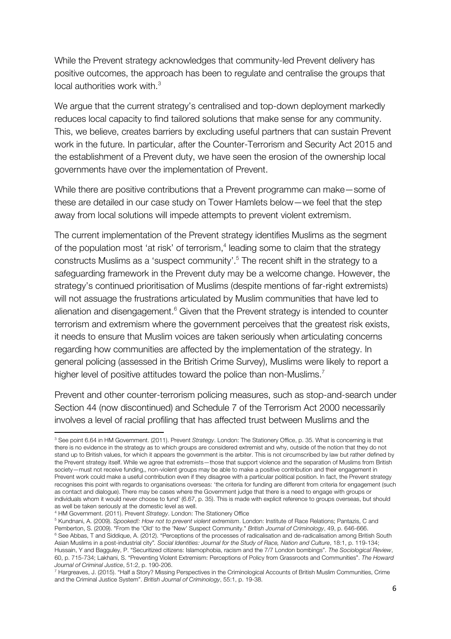While the Prevent strategy acknowledges that community-led Prevent delivery has positive outcomes, the approach has been to regulate and centralise the groups that local authorities work with. $3$ 

We argue that the current strategy's centralised and top-down deployment markedly reduces local capacity to find tailored solutions that make sense for any community. This, we believe, creates barriers by excluding useful partners that can sustain Prevent work in the future. In particular, after the Counter-Terrorism and Security Act 2015 and the establishment of a Prevent duty, we have seen the erosion of the ownership local governments have over the implementation of Prevent.

While there are positive contributions that a Prevent programme can make—some of these are detailed in our case study on Tower Hamlets below—we feel that the step away from local solutions will impede attempts to prevent violent extremism.

The current implementation of the Prevent strategy identifies Muslims as the segment of the population most 'at risk' of terrorism,<sup>4</sup> leading some to claim that the strategy constructs Muslims as a 'suspect community'.<sup>5</sup> The recent shift in the strategy to a safeguarding framework in the Prevent duty may be a welcome change. However, the strategy's continued prioritisation of Muslims (despite mentions of far-right extremists) will not assuage the frustrations articulated by Muslim communities that have led to alienation and disengagement.<sup>6</sup> Given that the Prevent strategy is intended to counter terrorism and extremism where the government perceives that the greatest risk exists, it needs to ensure that Muslim voices are taken seriously when articulating concerns regarding how communities are affected by the implementation of the strategy. In general policing (assessed in the British Crime Survey), Muslims were likely to report a higher level of positive attitudes toward the police than non-Muslims.<sup>7</sup>

Prevent and other counter-terrorism policing measures, such as stop-and-search under Section 44 (now discontinued) and Schedule 7 of the Terrorism Act 2000 necessarily involves a level of racial profiling that has affected trust between Muslims and the

<sup>3</sup> See point 6.64 in HM Government. (2011). Prevent *Strategy*. London: The Stationery Office, p. 35. What is concerning is that there is no evidence in the strategy as to which groups are considered extremist and why, outside of the notion that they do not stand up to British values, for which it appears the government is the arbiter. This is not circumscribed by law but rather defined by the Prevent strategy itself. While we agree that extremists—those that support violence and the separation of Muslims from British society—must not receive funding,, non-violent groups may be able to make a positive contribution and their engagement in Prevent work could make a useful contribution even if they disagree with a particular political position. In fact, the Prevent strategy recognises this point with regards to organisations overseas: 'the criteria for funding are different from criteria for engagement (such as contact and dialogue). There may be cases where the Government judge that there is a need to engage with groups or individuals whom it would never choose to fund' (6.67, p. 35). This is made with explicit reference to groups overseas, but should as well be taken seriously at the domestic level as well.

<sup>4</sup> HM Government. (2011). Prevent *Strategy*. London: The Stationery Office

<sup>5</sup> Kundnani, A. (2009). *Spooked!: How not to prevent violent extremism*. London: Institute of Race Relations; Pantazis, C and Pemberton, S. (2009). "From the 'Old' to the 'New' Suspect Community." *British Journal of Criminology*, 49, p. 646-666. <sup>6</sup> See Abbas, T and Siddique, A. (2012). "Perceptions of the processes of radicalisation and de-radicalisation among British South Asian Muslims in a post-industrial city*". Social Identities: Journal for the Study of Race, Nation and Culture*, 18:1, p. 119-134; Hussain, Y and Bagguley, P. "Securitized citizens: Islamophobia, racism and the 7/7 London bombings". *The Sociological Review*, 60, p. 715-734; Lakhani, S. "Preventing Violent Extremism: Perceptions of Policy from Grassroots and Communities". *The Howard Journal of Criminal Justice*, 51:2, p. 190-206.

<sup>7</sup> Hargreaves, J. (2015). "Half a Story? Missing Perspectives in the Criminological Accounts of British Muslim Communities, Crime and the Criminal Justice System". *British Journal of Criminology*, 55:1, p. 19-38.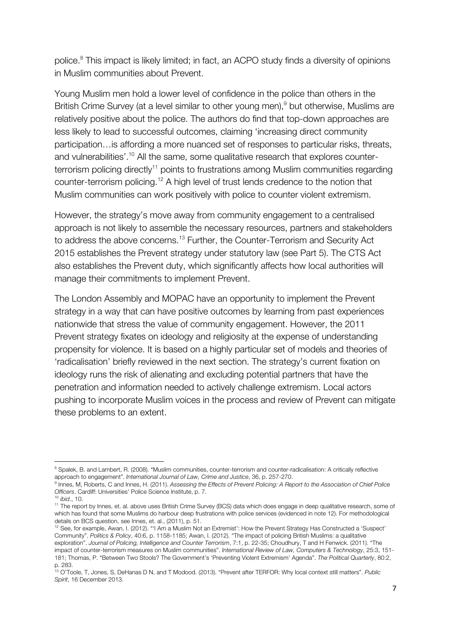police.<sup>8</sup> This impact is likely limited; in fact, an ACPO study finds a diversity of opinions in Muslim communities about Prevent.

Young Muslim men hold a lower level of confidence in the police than others in the British Crime Survey (at a level similar to other young men),<sup>9</sup> but otherwise, Muslims are relatively positive about the police. The authors do find that top-down approaches are less likely to lead to successful outcomes, claiming 'increasing direct community participation…is affording a more nuanced set of responses to particular risks, threats, and vulnerabilities'.<sup>10</sup> All the same, some qualitative research that explores counterterrorism policing directly<sup>11</sup> points to frustrations among Muslim communities regarding counter-terrorism policing.<sup>12</sup> A high level of trust lends credence to the notion that Muslim communities can work positively with police to counter violent extremism.

However, the strategy's move away from community engagement to a centralised approach is not likely to assemble the necessary resources, partners and stakeholders to address the above concerns.<sup>13</sup> Further, the Counter-Terrorism and Security Act 2015 establishes the Prevent strategy under statutory law (see Part 5). The CTS Act also establishes the Prevent duty, which significantly affects how local authorities will manage their commitments to implement Prevent.

The London Assembly and MOPAC have an opportunity to implement the Prevent strategy in a way that can have positive outcomes by learning from past experiences nationwide that stress the value of community engagement. However, the 2011 Prevent strategy fixates on ideology and religiosity at the expense of understanding propensity for violence. It is based on a highly particular set of models and theories of 'radicalisation' briefly reviewed in the next section. The strategy's current fixation on ideology runs the risk of alienating and excluding potential partners that have the penetration and information needed to actively challenge extremism. Local actors pushing to incorporate Muslim voices in the process and review of Prevent can mitigate these problems to an extent.

<sup>&</sup>lt;sup>8</sup> Spalek, B. and Lambert, R. (2008). "Muslim communities, counter-terrorism and counter-radicalisation: A critically reflective approach to engagement". International Journal of Law, Crime and Justice, 36, p. 257-270.

<sup>&</sup>lt;sup>9</sup> Innes, M, Roberts, C and Innes, H. (2011). Assessing the Effects of Prevent Policing: A Report to the Association of Chief Police *Officers*. Cardiff: Universities' Police Science Institute, p. 7.

<sup>10</sup> *ibid*., 10.

<sup>11</sup> The report by Innes, et. al. above uses British Crime Survey (BCS) data which does engage in deep qualitative research, some of which has found that some Muslims do harbour deep frustrations with police services (evidenced in note 12). For methodological details on BCS question, see Innes, et. al., (2011), p. 51.

<sup>12</sup> See, for example, Awan, I. (2012). "'I Am a Muslim Not an Extremist': How the Prevent Strategy Has Constructed a 'Suspect' Community". *Politics & Policy*, 40:6, p. 1158-1185; Awan, I. (2012). "The impact of policing British Muslims: a qualitative exploration". *Journal of Policing, Intelligence and Counter Terrorism*, 7:1, p. 22-35; Choudhury, T and H Fenwick. (2011). "The impact of counter-terrorism measures on Muslim communities". *International Review of Law, Computers & Technology*, 25:3, 151- 181; Thomas, P. "Between Two Stools? The Government's 'Preventing Violent Extremism' Agenda". *The Political Quarterly*, 80:2, p. 283.

<sup>13</sup> O'Toole, T, Jones, S, DeHanas D N, and T Modood. (2013). "Prevent after TERFOR: Why local context still matters". *Public Spirit*, 16 December 2013.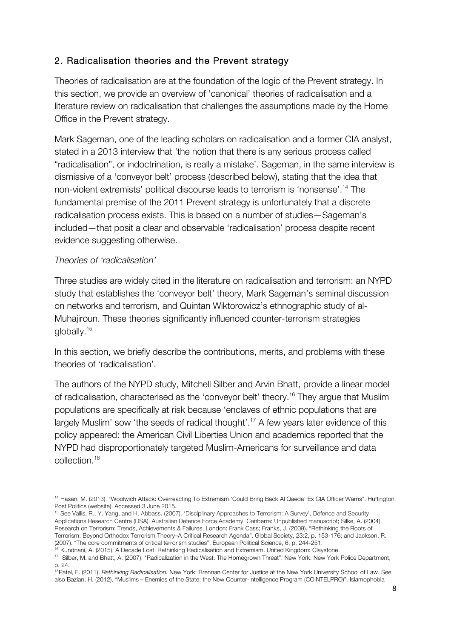## 2. Radicalisation theories and the Prevent strategy

Theories of radicalisation are at the foundation of the logic of the Prevent strategy. In this section, we provide an overview of 'canonical' theories of radicalisation and a literature review on radicalisation that challenges the assumptions made by the Home Office in the Prevent strategy.

Mark Sageman, one of the leading scholars on radicalisation and a former CIA analyst, stated in a 2013 interview that 'the notion that there is any serious process called "radicalisation", or indoctrination, is really a mistake'. Sageman, in the same interview is dismissive of a 'conveyor belt' process (described below), stating that the idea that non-violent extremists' political discourse leads to terrorism is 'nonsense'.14 The fundamental premise of the 2011 Prevent strategy is unfortunately that a discrete radicalisation process exists. This is based on a number of studies—Sageman's included—that posit a clear and observable 'radicalisation' process despite recent evidence suggesting otherwise.

#### *Theories of 'radicalisation'*

!!!!!!!!!!!!!!!!!!!!!!!!!!!!!!!!!!!!!!!!!!!!!!!!!!!!!!!!!!!!

Three studies are widely cited in the literature on radicalisation and terrorism: an NYPD study that establishes the 'conveyor belt' theory, Mark Sageman's seminal discussion on networks and terrorism, and Quintan Wiktorowicz's ethnographic study of al-Muhajiroun. These theories significantly influenced counter-terrorism strategies globally.15

In this section, we briefly describe the contributions, merits, and problems with these theories of 'radicalisation'.

The authors of the NYPD study, Mitchell Silber and Arvin Bhatt, provide a linear model of radicalisation, characterised as the 'conveyor belt' theory.<sup>16</sup> They argue that Muslim populations are specifically at risk because 'enclaves of ethnic populations that are largely Muslim' sow 'the seeds of radical thought'.<sup>17</sup> A few years later evidence of this policy appeared: the American Civil Liberties Union and academics reported that the NYPD had disproportionately targeted Muslim-Americans for surveillance and data collection. 18

<sup>14</sup> Hasan, M. (2013). "Woolwich Attack: Overreacting To Extremism 'Could Bring Back Al Qaeda' Ex CIA Officer Warns". Huffington Post Politics (website). Accessed 3 June 2015.

<sup>15</sup> See Vallis, R., Y. Yang, and H. Abbass. (2007). 'Disciplinary Approaches to Terrorism: A Survey', Defence and Security Applications Research Centre (DSA), Australian Defence Force Academy, Canberra: Unpublished manuscript; Silke, A. (2004). Research on Terrorism: Trends, Achievements & Failures. London: Frank Cass; Franks, J. (2009). "Rethinking the Roots of Terrorism: Beyond Orthodox Terrorism Theory–A Critical Research Agenda". Global Society, 23:2, p. 153-176; and Jackson, R. (2007). "The core commitments of critical terrorism studies". European Political Science, 6, p. 244-251.

<sup>&</sup>lt;sup>6</sup> Kundnani, A. (2015). A Decade Lost: Rethinking Radicalisation and Extremism. United Kingdom: Claystone.

<sup>&</sup>lt;sup>17</sup> Silber, M. and Bhatt, A. (2007). "Radicalization in the West: The Homegrown Threat". New York: New York Police Department, p. 24.

<sup>18</sup>Patel, F. (2011). *Rethinking Radicalisation.* New York: Brennan Center for Justice at the New York University School of Law. See also Bazian, H. (2012). "Muslims – Enemies of the State: the New Counter-Intelligence Program (COINTELPRO)". Islamophobia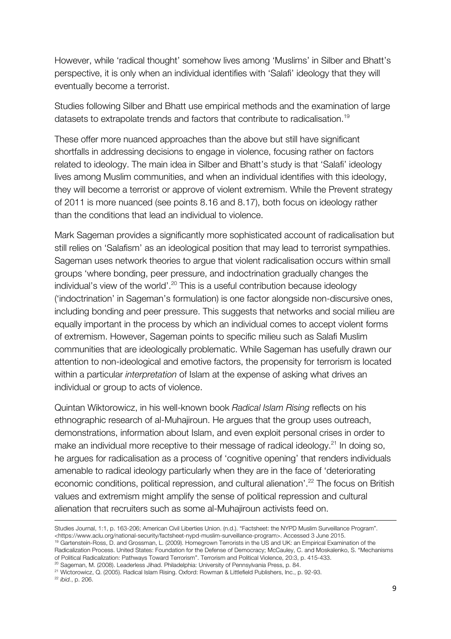However, while 'radical thought' somehow lives among 'Muslims' in Silber and Bhatt's perspective, it is only when an individual identifies with 'Salafi' ideology that they will eventually become a terrorist.

Studies following Silber and Bhatt use empirical methods and the examination of large datasets to extrapolate trends and factors that contribute to radicalisation.19

These offer more nuanced approaches than the above but still have significant shortfalls in addressing decisions to engage in violence, focusing rather on factors related to ideology. The main idea in Silber and Bhatt's study is that 'Salafi' ideology lives among Muslim communities, and when an individual identifies with this ideology, they will become a terrorist or approve of violent extremism. While the Prevent strategy of 2011 is more nuanced (see points 8.16 and 8.17), both focus on ideology rather than the conditions that lead an individual to violence.

Mark Sageman provides a significantly more sophisticated account of radicalisation but still relies on 'Salafism' as an ideological position that may lead to terrorist sympathies. Sageman uses network theories to argue that violent radicalisation occurs within small groups 'where bonding, peer pressure, and indoctrination gradually changes the individual's view of the world'.<sup>20</sup> This is a useful contribution because ideology ('indoctrination' in Sageman's formulation) is one factor alongside non-discursive ones, including bonding and peer pressure. This suggests that networks and social milieu are equally important in the process by which an individual comes to accept violent forms of extremism. However, Sageman points to specific milieu such as Salafi Muslim communities that are ideologically problematic. While Sageman has usefully drawn our attention to non-ideological and emotive factors, the propensity for terrorism is located within a particular *interpretation* of Islam at the expense of asking what drives an individual or group to acts of violence.

Quintan Wiktorowicz, in his well-known book *Radical Islam Rising* reflects on his ethnographic research of al-Muhajiroun. He argues that the group uses outreach, demonstrations, information about Islam, and even exploit personal crises in order to make an individual more receptive to their message of radical ideology.<sup>21</sup> In doing so, he argues for radicalisation as a process of 'cognitive opening' that renders individuals amenable to radical ideology particularly when they are in the face of 'deteriorating economic conditions, political repression, and cultural alienation'.<sup>22</sup> The focus on British values and extremism might amplify the sense of political repression and cultural alienation that recruiters such as some al-Muhajiroun activists feed on.

!!!!!!!!!!!!!!!!!!!!!!!!!!!!!!!!!!!!!!!!!!!!!!!!!!!!!!!!!!!!!!!!!!!!!!!!!!!!!!!!!!!!!!!!!!!!!!!!!!!!!!!!!!!!!!!!!!!!!!!!!!!!!!!!!!!!!!!!!!!!!!!!!!!!!!!!!!!!!!!!!!!!!!!!!!!!!!!!!!!!!!!!!!!!

<sup>22</sup> *ibid.*, p. 206.

Studies Journal, 1:1, p. 163-206; American Civil Liberties Union. (n.d.). "Factsheet: the NYPD Muslim Surveillance Program". <https://www.aclu.org/national-security/factsheet-nypd-muslim-surveillance-program>. Accessed 3 June 2015.

<sup>&</sup>lt;sup>19</sup> Gartenstein-Ross, D. and Grossman, L. (2009). Homegrown Terrorists in the US and UK: an Empirical Examination of the Radicalization Process. United States: Foundation for the Defense of Democracy; McCauley, C. and Moskalenko, S. "Mechanisms of Political Radicalization: Pathways Toward Terrorism". Terrorism and Political Violence, 20:3, p. 415-433.

<sup>&</sup>lt;sup>20</sup> Sageman, M. (2008). Leaderless Jihad. Philadelphia: University of Pennsylvania Press, p. 84. <sup>21</sup> Wictorowicz, Q. (2005). Radical Islam Rising. Oxford: Rowman & Littlefield Publishers, Inc., p. 92-93.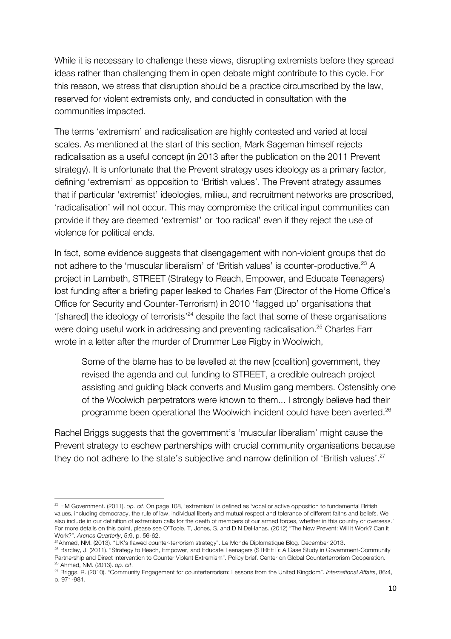While it is necessary to challenge these views, disrupting extremists before they spread ideas rather than challenging them in open debate might contribute to this cycle. For this reason, we stress that disruption should be a practice circumscribed by the law, reserved for violent extremists only, and conducted in consultation with the communities impacted.

The terms 'extremism' and radicalisation are highly contested and varied at local scales. As mentioned at the start of this section, Mark Sageman himself rejects radicalisation as a useful concept (in 2013 after the publication on the 2011 Prevent strategy). It is unfortunate that the Prevent strategy uses ideology as a primary factor, defining 'extremism' as opposition to 'British values'. The Prevent strategy assumes that if particular 'extremist' ideologies, milieu, and recruitment networks are proscribed, 'radicalisation' will not occur. This may compromise the critical input communities can provide if they are deemed 'extremist' or 'too radical' even if they reject the use of violence for political ends.

In fact, some evidence suggests that disengagement with non-violent groups that do not adhere to the 'muscular liberalism' of 'British values' is counter-productive.<sup>23</sup> A project in Lambeth, STREET (Strategy to Reach, Empower, and Educate Teenagers) lost funding after a briefing paper leaked to Charles Farr (Director of the Home Office's Office for Security and Counter-Terrorism) in 2010 'flagged up' organisations that '[shared] the ideology of terrorists'24 despite the fact that some of these organisations were doing useful work in addressing and preventing radicalisation.<sup>25</sup> Charles Farr wrote in a letter after the murder of Drummer Lee Rigby in Woolwich,

Some of the blame has to be levelled at the new [coalition] government, they revised the agenda and cut funding to STREET, a credible outreach project assisting and guiding black converts and Muslim gang members. Ostensibly one of the Woolwich perpetrators were known to them... I strongly believe had their programme been operational the Woolwich incident could have been averted.<sup>26</sup>

Rachel Briggs suggests that the government's 'muscular liberalism' might cause the Prevent strategy to eschew partnerships with crucial community organisations because they do not adhere to the state's subjective and narrow definition of 'British values'.<sup>27</sup>

<sup>23</sup> HM Government. (2011). *op. cit*. On page 108, 'extremism' is defined as 'vocal or active opposition to fundamental British values, including democracy, the rule of law, individual liberty and mutual respect and tolerance of different faiths and beliefs. We also include in our definition of extremism calls for the death of members of our armed forces, whether in this country or overseas.' For more details on this point, please see O'Toole, T, Jones, S, and D N DeHanas. (2012) "The New Prevent: Will it Work? Can it Work?". *Arches Quarterly*, 5:9, p. 56-62.

<sup>&</sup>lt;sup>24</sup>Ahmed, NM. (2013). "UK's flawed counter-terrorism strategy". Le Monde Diplomatique Blog. December 2013.

<sup>&</sup>lt;sup>25</sup> Barclay, J. (2011). "Strategy to Reach, Empower, and Educate Teenagers (STREET): A Case Study in Government-Community Partnership and Direct Intervention to Counter Violent Extremism". Policy brief. Center on Global Counterterrorism Cooperation. <sup>26</sup> Ahmed, NM. (2013). *op. cit*.

<sup>27</sup> Briggs, R. (2010). "Community Engagement for counterterrorism: Lessons from the United Kingdom". *International Affairs*, 86:4, p. 971-981.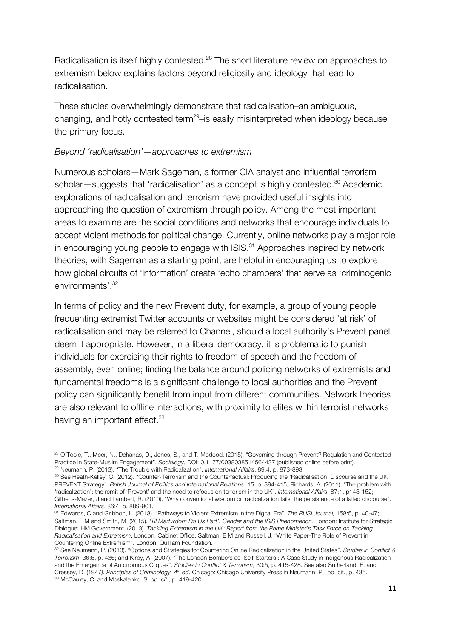Radicalisation is itself highly contested.<sup>28</sup> The short literature review on approaches to extremism below explains factors beyond religiosity and ideology that lead to radicalisation.

These studies overwhelmingly demonstrate that radicalisation–an ambiguous, changing, and hotly contested term<sup>29</sup>-is easily misinterpreted when ideology because the primary focus.

#### *Beyond 'radicalisation'—approaches to extremism*

!!!!!!!!!!!!!!!!!!!!!!!!!!!!!!!!!!!!!!!!!!!!!!!!!!!!!!!!!!!!

Numerous scholars—Mark Sageman, a former CIA analyst and influential terrorism scholar—suggests that 'radicalisation' as a concept is highly contested.<sup>30</sup> Academic explorations of radicalisation and terrorism have provided useful insights into approaching the question of extremism through policy. Among the most important areas to examine are the social conditions and networks that encourage individuals to accept violent methods for political change. Currently, online networks play a major role in encouraging young people to engage with ISIS.<sup>31</sup> Approaches inspired by network theories, with Sageman as a starting point, are helpful in encouraging us to explore how global circuits of 'information' create 'echo chambers' that serve as 'criminogenic environments'. 32

In terms of policy and the new Prevent duty, for example, a group of young people frequenting extremist Twitter accounts or websites might be considered 'at risk' of radicalisation and may be referred to Channel, should a local authority's Prevent panel deem it appropriate. However, in a liberal democracy, it is problematic to punish individuals for exercising their rights to freedom of speech and the freedom of assembly, even online; finding the balance around policing networks of extremists and fundamental freedoms is a significant challenge to local authorities and the Prevent policy can significantly benefit from input from different communities. Network theories are also relevant to offline interactions, with proximity to elites within terrorist networks having an important effect.<sup>33</sup>

<sup>&</sup>lt;sup>28</sup> O'Toole, T., Meer, N., Dehanas, D., Jones, S., and T. Modood. (2015). "Governing through Prevent? Regulation and Contested<br>Practice in State-Muslim Engagement". Sociology. DOI: 0.1177/0038038514564437 (published onlin <sup>29</sup> Neumann, P. (2013). "The Trouble with Radicalization". *International Affairs*, 89:4, p. 873-893.

<sup>30</sup> See Heath-Kelley, C. (2012). "Counter-Terrorism and the Counterfactual: Producing the 'Radicalisation' Discourse and the UK PREVENT Strategy". *British Journal of Politics and International Relations*, 15, p. 394-415; Richards, A. (2011). "The problem with 'radicalization': the remit of 'Prevent' and the need to refocus on terrorism in the UK". *International Affairs*, 87:1, p143-152; Githens-Mazer, J and Lambert, R. (2010). "Why conventional wisdom on radicalization fails: the persistence of a failed discourse". *International Affairs*, 86:4, p. 889-901.

<sup>31</sup> Edwards, C and Gribbon, L. (2013). "Pathways to Violent Extremism in the Digital Era". *The RUSI Journal,* 158:5, p. 40-47; Saltman, E M and Smith, M. (2015). *'Til Martyrdom Do Us Part': Gender and the ISIS Phenomenon*. London: Institute for Strategic Dialogue; HM Government. (2013). *Tackling Extremism in the UK: Report from the Prime Minister's Task Force on Tackling Radicalisation and Extremism*. London: Cabinet Office; Saltman, E M and Russell, J. "White Paper-The Role of Prevent in Countering Online Extremism". London: Quilliam Foundation.

<sup>32</sup> See Neumann, P. (2013). "Options and Strategies for Countering Online Radicalization in the United States". *Studies in Conflict & Terrorism*, 36:6, p. 436; and Kirby, A. (2007). "The London Bombers as 'Self-Starters': A Case Study in Indigenous Radicalization and the Emergence of Autonomous Cliques". *Studies in Conflict & Terrorism*, 30:5, p. 415-428. See also Sutherland, E. and Cressey, D. (1947*). Principles of Criminology, 4th ed*. Chicago: Chicago University Press in Neumann, P., op. cit., p. 436. <sup>33</sup> McCauley, C. and Moskalenko, S. *op. cit*., p. 419-420.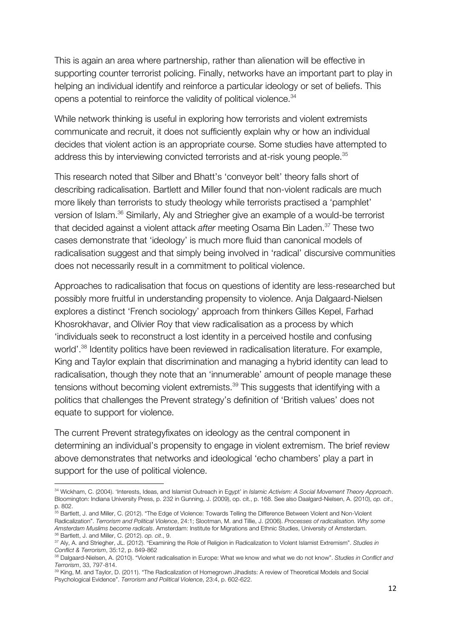This is again an area where partnership, rather than alienation will be effective in supporting counter terrorist policing. Finally, networks have an important part to play in helping an individual identify and reinforce a particular ideology or set of beliefs. This opens a potential to reinforce the validity of political violence.<sup>34</sup>

While network thinking is useful in exploring how terrorists and violent extremists communicate and recruit, it does not sufficiently explain why or how an individual decides that violent action is an appropriate course. Some studies have attempted to address this by interviewing convicted terrorists and at-risk young people.<sup>35</sup>

This research noted that Silber and Bhatt's 'conveyor belt' theory falls short of describing radicalisation. Bartlett and Miller found that non-violent radicals are much more likely than terrorists to study theology while terrorists practised a 'pamphlet' version of Islam.36 Similarly, Aly and Striegher give an example of a would-be terrorist that decided against a violent attack *after* meeting Osama Bin Laden. <sup>37</sup> These two cases demonstrate that 'ideology' is much more fluid than canonical models of radicalisation suggest and that simply being involved in 'radical' discursive communities does not necessarily result in a commitment to political violence.

Approaches to radicalisation that focus on questions of identity are less-researched but possibly more fruitful in understanding propensity to violence. Anja Dalgaard-Nielsen explores a distinct 'French sociology' approach from thinkers Gilles Kepel, Farhad Khosrokhavar, and Olivier Roy that view radicalisation as a process by which 'individuals seek to reconstruct a lost identity in a perceived hostile and confusing world'.<sup>38</sup> Identity politics have been reviewed in radicalisation literature. For example, King and Taylor explain that discrimination and managing a hybrid identity can lead to radicalisation, though they note that an 'innumerable' amount of people manage these tensions without becoming violent extremists.<sup>39</sup> This suggests that identifying with a politics that challenges the Prevent strategy's definition of 'British values' does not equate to support for violence.

The current Prevent strategyfixates on ideology as the central component in determining an individual's propensity to engage in violent extremism. The brief review above demonstrates that networks and ideological 'echo chambers' play a part in support for the use of political violence.

<sup>34</sup> Wickham, C. (2004). 'Interests, Ideas, and Islamist Outreach in Egypt' in *Islamic Activism: A Social Movement Theory Approach*. Bloomington: Indiana University Press, p. 232 in Gunning, J. (2009), op. cit., p. 168. See also Daalgard-Nielsen, A. (2010), *op. cit*., p. 802.

<sup>&</sup>lt;sup>35</sup> Bartlett, J. and Miller, C. (2012). "The Edge of Violence: Towards Telling the Difference Between Violent and Non-Violent Radicalization". *Terrorism and Political Violence*, 24:1; Slootman, M. and Tillie, J. (2006). *Processes of radicalisation. Why some Amsterdam Muslims become radicals*. Amsterdam: Institute for Migrations and Ethnic Studies, University of Amsterdam. <sup>36</sup> Bartlett, J. and Miller, C. (2012). *op. cit*., 9.

<sup>37</sup> Aly, A. and Striegher, JL. (2012). "Examining the Role of Religion in Radicalization to Violent Islamist Extremism". *Studies in Conflict & Terrorism*, 35:12, p. 849-862

<sup>38</sup> Dalgaard-Nielsen, A. (2010). "Violent radicalisation in Europe: What we know and what we do not know". *Studies in Conflict and Terrorism*, 33, 797-814.

<sup>39</sup> King, M. and Taylor, D. (2011). "The Radicalization of Homegrown Jihadists: A review of Theoretical Models and Social Psychological Evidence". *Terrorism and Political Violence*, 23:4, p. 602-622.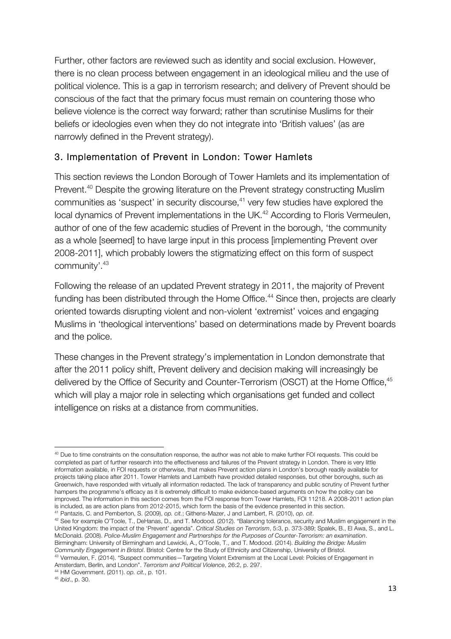Further, other factors are reviewed such as identity and social exclusion. However, there is no clean process between engagement in an ideological milieu and the use of political violence. This is a gap in terrorism research; and delivery of Prevent should be conscious of the fact that the primary focus must remain on countering those who believe violence is the correct way forward; rather than scrutinise Muslims for their beliefs or ideologies even when they do not integrate into 'British values' (as are narrowly defined in the Prevent strategy).

### 3. Implementation of Prevent in London: Tower Hamlets

This section reviews the London Borough of Tower Hamlets and its implementation of Prevent.<sup>40</sup> Despite the growing literature on the Prevent strategy constructing Muslim communities as 'suspect' in security discourse, <sup>41</sup> very few studies have explored the local dynamics of Prevent implementations in the UK.<sup>42</sup> According to Floris Vermeulen, author of one of the few academic studies of Prevent in the borough, 'the community as a whole [seemed] to have large input in this process [implementing Prevent over 2008-2011], which probably lowers the stigmatizing effect on this form of suspect community'.43

Following the release of an updated Prevent strategy in 2011, the majority of Prevent funding has been distributed through the Home Office.<sup>44</sup> Since then, projects are clearly oriented towards disrupting violent and non-violent 'extremist' voices and engaging Muslims in 'theological interventions' based on determinations made by Prevent boards and the police.

These changes in the Prevent strategy's implementation in London demonstrate that after the 2011 policy shift, Prevent delivery and decision making will increasingly be delivered by the Office of Security and Counter-Terrorism (OSCT) at the Home Office, 45 which will play a major role in selecting which organisations get funded and collect intelligence on risks at a distance from communities.

<sup>43</sup> Vermeulen, F. (2014). "Suspect communities—Targeting Violent Extremism at the Local Level: Policies of Engagement in Amsterdam, Berlin, and London". *Terrorism and Political Violence*, 26:2, p. 297.

<sup>&</sup>lt;sup>40</sup> Due to time constraints on the consultation response, the author was not able to make further FOI requests. This could be completed as part of further research into the effectiveness and failures of the Prevent strategy in London. There is very little information available, in FOI requests or otherwise, that makes Prevent action plans in London's borough readily available for projects taking place after 2011. Tower Hamlets and Lambeth have provided detailed responses, but other boroughs, such as Greenwich, have responded with virtually all information redacted. The lack of transparency and public scrutiny of Prevent further hampers the programme's efficacy as it is extremely difficult to make evidence-based arguments on how the policy can be improved. The information in this section comes from the FOI response from Tower Hamlets, FOI 11218. A 2008-2011 action plan is included, as are action plans from 2012-2015, which form the basis of the evidence presented in this section.

<sup>&</sup>lt;sup>41</sup> Pantazis, C. and Pemberton, S. (2009), op. cit.; Githens-Mazer, J and Lambert, R. (2010), op. cit.<br><sup>42</sup> See for example O'Toole, T., DeHanas, D., and T. Modood. (2012). "Balancing tolerance, security and Muslim engage United Kingdom: the impact of the 'Prevent' agenda". *Critical Studies on Terrorism*, 5:3, p. 373-389; Spalek, B., El Awa, S., and L. McDonald. (2008). *Police-Muslim Engagement and Partnerships for the Purposes of Counter-Terrorism: an examination*. Birmingham: University of Birmingham and Lewicki, A., O'Toole, T., and T. Modood. (2014). *Building the Bridge: Muslim Community Engagement in Bristol*. Bristol: Centre for the Study of Ethnicity and Citizenship, University of Bristol.

<sup>44</sup> HM Government. (2011). *op. cit.*, p. 101.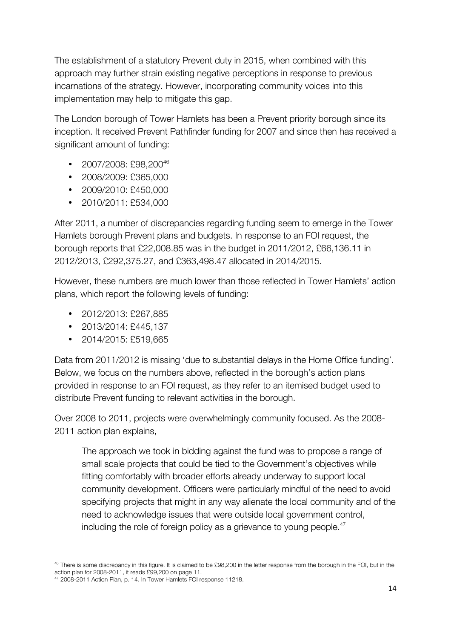The establishment of a statutory Prevent duty in 2015, when combined with this approach may further strain existing negative perceptions in response to previous incarnations of the strategy. However, incorporating community voices into this implementation may help to mitigate this gap.

The London borough of Tower Hamlets has been a Prevent priority borough since its inception. It received Prevent Pathfinder funding for 2007 and since then has received a significant amount of funding:

- 2007/2008: £98,200 $46$
- 2008/2009: £365,000
- 2009/2010: £450,000
- 2010/2011: £534,000

After 2011, a number of discrepancies regarding funding seem to emerge in the Tower Hamlets borough Prevent plans and budgets. In response to an FOI request, the borough reports that £22,008.85 was in the budget in 2011/2012, £66,136.11 in 2012/2013, £292,375.27, and £363,498.47 allocated in 2014/2015.

However, these numbers are much lower than those reflected in Tower Hamlets' action plans, which report the following levels of funding:

- 2012/2013: £267,885
- 2013/2014: £445,137
- 2014/2015: £519,665

Data from 2011/2012 is missing 'due to substantial delays in the Home Office funding'. Below, we focus on the numbers above, reflected in the borough's action plans provided in response to an FOI request, as they refer to an itemised budget used to distribute Prevent funding to relevant activities in the borough.

Over 2008 to 2011, projects were overwhelmingly community focused. As the 2008- 2011 action plan explains,

The approach we took in bidding against the fund was to propose a range of small scale projects that could be tied to the Government's objectives while fitting comfortably with broader efforts already underway to support local community development. Officers were particularly mindful of the need to avoid specifying projects that might in any way alienate the local community and of the need to acknowledge issues that were outside local government control, including the role of foreign policy as a grievance to young people.<sup>47</sup>

<sup>&</sup>lt;sup>46</sup> There is some discrepancy in this figure. It is claimed to be £98,200 in the letter response from the borough in the FOI, but in the action plan for 2008-2011, it reads £99,200 on page 11.

<sup>47</sup> 2008-2011 Action Plan, p. 14. In Tower Hamlets FOI response 11218.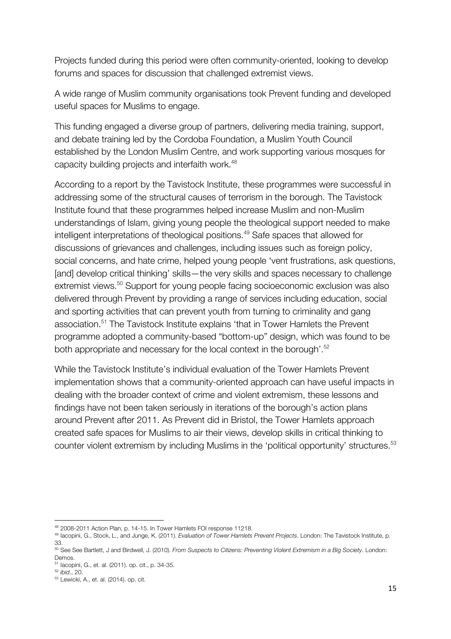Projects funded during this period were often community-oriented, looking to develop forums and spaces for discussion that challenged extremist views.

A wide range of Muslim community organisations took Prevent funding and developed useful spaces for Muslims to engage.

This funding engaged a diverse group of partners, delivering media training, support, and debate training led by the Cordoba Foundation, a Muslim Youth Council established by the London Muslim Centre, and work supporting various mosques for capacity building projects and interfaith work.<sup>48</sup>

According to a report by the Tavistock Institute, these programmes were successful in addressing some of the structural causes of terrorism in the borough. The Tavistock Institute found that these programmes helped increase Muslim and non-Muslim understandings of Islam, giving young people the theological support needed to make intelligent interpretations of theological positions. <sup>49</sup> Safe spaces that allowed for discussions of grievances and challenges, including issues such as foreign policy, social concerns, and hate crime, helped young people 'vent frustrations, ask questions, [and] develop critical thinking' skills—the very skills and spaces necessary to challenge extremist views.<sup>50</sup> Support for young people facing socioeconomic exclusion was also delivered through Prevent by providing a range of services including education, social and sporting activities that can prevent youth from turning to criminality and gang association.51 The Tavistock Institute explains 'that in Tower Hamlets the Prevent programme adopted a community-based "bottom-up" design, which was found to be both appropriate and necessary for the local context in the borough'.<sup>52</sup>

While the Tavistock Institute's individual evaluation of the Tower Hamlets Prevent implementation shows that a community-oriented approach can have useful impacts in dealing with the broader context of crime and violent extremism, these lessons and findings have not been taken seriously in iterations of the borough's action plans around Prevent after 2011. As Prevent did in Bristol, the Tower Hamlets approach created safe spaces for Muslims to air their views, develop skills in critical thinking to counter violent extremism by including Muslims in the 'political opportunity' structures.<sup>53</sup>

<sup>48</sup> 2008-2011 Action Plan, p. 14-15. In Tower Hamlets FOI response 11218.

<sup>49</sup> Iacopini, G., Stock, L., and Junge, K. (2011). *Evaluation of Tower Hamlets Prevent Projects*. London: The Tavistock Institute, p. 33.

<sup>50</sup> See See Bartlett, J and Birdwell, J. (2010). *From Suspects to Citizens: Preventing Violent Extremism in a Big Society*. London: Demos.

<sup>51</sup> Iacopini, G., et. al. (2011). op. cit., p. 34-35.

<sup>52</sup> *ibid*., 20.

<sup>53</sup> Lewicki, A., et. al. (2014). op. cit.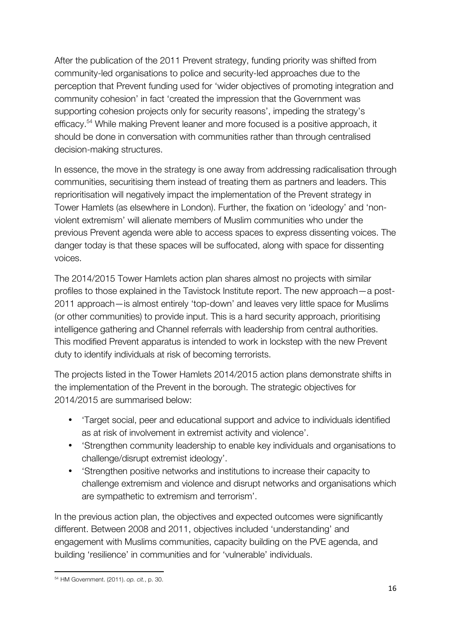After the publication of the 2011 Prevent strategy, funding priority was shifted from community-led organisations to police and security-led approaches due to the perception that Prevent funding used for 'wider objectives of promoting integration and community cohesion' in fact 'created the impression that the Government was supporting cohesion projects only for security reasons', impeding the strategy's efficacy.<sup>54</sup> While making Prevent leaner and more focused is a positive approach, it should be done in conversation with communities rather than through centralised decision-making structures.

In essence, the move in the strategy is one away from addressing radicalisation through communities, securitising them instead of treating them as partners and leaders. This reprioritisation will negatively impact the implementation of the Prevent strategy in Tower Hamlets (as elsewhere in London). Further, the fixation on 'ideology' and 'nonviolent extremism' will alienate members of Muslim communities who under the previous Prevent agenda were able to access spaces to express dissenting voices. The danger today is that these spaces will be suffocated, along with space for dissenting voices.

The 2014/2015 Tower Hamlets action plan shares almost no projects with similar profiles to those explained in the Tavistock Institute report. The new approach—a post-2011 approach—is almost entirely 'top-down' and leaves very little space for Muslims (or other communities) to provide input. This is a hard security approach, prioritising intelligence gathering and Channel referrals with leadership from central authorities. This modified Prevent apparatus is intended to work in lockstep with the new Prevent duty to identify individuals at risk of becoming terrorists.

The projects listed in the Tower Hamlets 2014/2015 action plans demonstrate shifts in the implementation of the Prevent in the borough. The strategic objectives for 2014/2015 are summarised below:

- 'Target social, peer and educational support and advice to individuals identified as at risk of involvement in extremist activity and violence'.
- 'Strengthen community leadership to enable key individuals and organisations to challenge/disrupt extremist ideology'.
- 'Strengthen positive networks and institutions to increase their capacity to challenge extremism and violence and disrupt networks and organisations which are sympathetic to extremism and terrorism'.

In the previous action plan, the objectives and expected outcomes were significantly different. Between 2008 and 2011, objectives included 'understanding' and engagement with Muslims communities, capacity building on the PVE agenda, and building 'resilience' in communities and for 'vulnerable' individuals.

<sup>!!!!!!!!!!!!!!!!!!!!!!!!!!!!!!!!!!!!!!!!!!!!!!!!!!!!!!!!!!!!</sup> <sup>54</sup> HM Government. (2011). *op. cit.*, p. 30.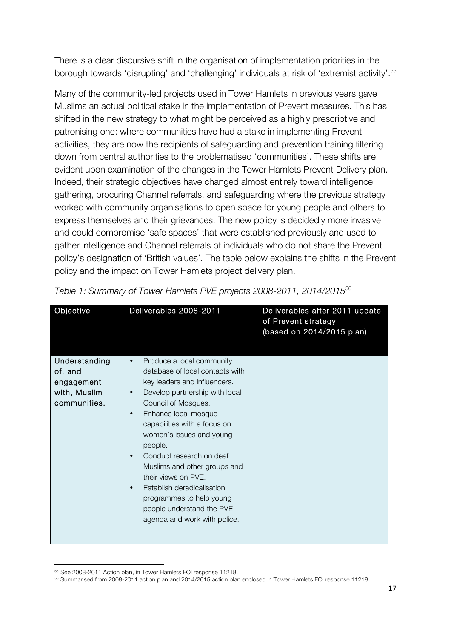There is a clear discursive shift in the organisation of implementation priorities in the borough towards 'disrupting' and 'challenging' individuals at risk of 'extremist activity'.<sup>55</sup>

Many of the community-led projects used in Tower Hamlets in previous years gave Muslims an actual political stake in the implementation of Prevent measures. This has shifted in the new strategy to what might be perceived as a highly prescriptive and patronising one: where communities have had a stake in implementing Prevent activities, they are now the recipients of safeguarding and prevention training filtering down from central authorities to the problematised 'communities'. These shifts are evident upon examination of the changes in the Tower Hamlets Prevent Delivery plan. Indeed, their strategic objectives have changed almost entirely toward intelligence gathering, procuring Channel referrals, and safeguarding where the previous strategy worked with community organisations to open space for young people and others to express themselves and their grievances. The new policy is decidedly more invasive and could compromise 'safe spaces' that were established previously and used to gather intelligence and Channel referrals of individuals who do not share the Prevent policy's designation of 'British values'. The table below explains the shifts in the Prevent policy and the impact on Tower Hamlets project delivery plan.

| Objective     | Deliverables 2008-2011                           | Deliverables after 2011 update<br>of Prevent strategy<br>(based on 2014/2015 plan) |
|---------------|--------------------------------------------------|------------------------------------------------------------------------------------|
| Understanding | Produce a local community<br>$\bullet$           |                                                                                    |
| of, and       | database of local contacts with                  |                                                                                    |
| engagement    | key leaders and influencers.                     |                                                                                    |
| with, Muslim  | Develop partnership with local<br>$\bullet$      |                                                                                    |
| communities.  | Council of Mosques.                              |                                                                                    |
|               | Enhance local mosque<br>$\bullet$                |                                                                                    |
|               | capabilities with a focus on                     |                                                                                    |
|               | women's issues and young                         |                                                                                    |
|               | people.<br>Conduct research on deaf<br>$\bullet$ |                                                                                    |
|               | Muslims and other groups and                     |                                                                                    |
|               | their views on PVE.                              |                                                                                    |
|               | Establish deradicalisation<br>$\bullet$          |                                                                                    |
|               | programmes to help young                         |                                                                                    |
|               | people understand the PVE                        |                                                                                    |
|               | agenda and work with police.                     |                                                                                    |
|               |                                                  |                                                                                    |
|               |                                                  |                                                                                    |

*Table 1: Summary of Tower Hamlets PVE projects 2008-2011, 2014/2015*<sup>56</sup>

<sup>55</sup> See 2008-2011 Action plan, in Tower Hamlets FOI response 11218.

<sup>56</sup> Summarised from 2008-2011 action plan and 2014/2015 action plan enclosed in Tower Hamlets FOI response 11218.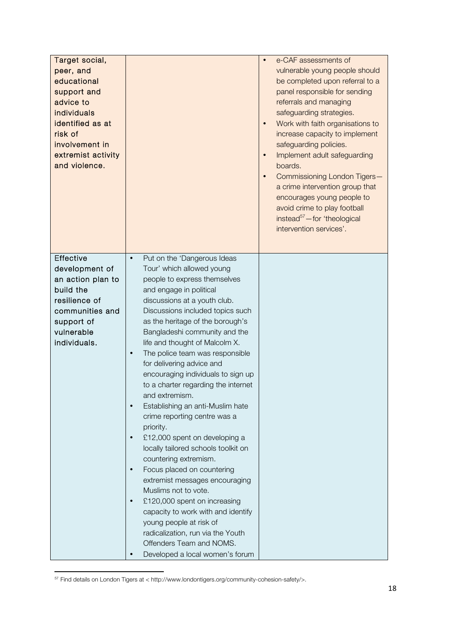| Target social,<br>peer, and<br>educational<br>support and<br>advice to<br>individuals<br>identified as at<br>risk of<br>involvement in<br>extremist activity<br>and violence. |                                                                                                                                                                                                                                                                                                                                                                                                                                                                                                                                                                                                                                                                                                                                                                                                                                                                                                                                                                        | e-CAF assessments of<br>$\bullet$<br>vulnerable young people should<br>be completed upon referral to a<br>panel responsible for sending<br>referrals and managing<br>safeguarding strategies.<br>Work with faith organisations to<br>$\bullet$<br>increase capacity to implement<br>safeguarding policies.<br>Implement adult safeguarding<br>$\bullet$<br>boards.<br>Commissioning London Tigers-<br>a crime intervention group that<br>encourages young people to<br>avoid crime to play football<br>instead <sup>57</sup> -for 'theological<br>intervention services'. |
|-------------------------------------------------------------------------------------------------------------------------------------------------------------------------------|------------------------------------------------------------------------------------------------------------------------------------------------------------------------------------------------------------------------------------------------------------------------------------------------------------------------------------------------------------------------------------------------------------------------------------------------------------------------------------------------------------------------------------------------------------------------------------------------------------------------------------------------------------------------------------------------------------------------------------------------------------------------------------------------------------------------------------------------------------------------------------------------------------------------------------------------------------------------|---------------------------------------------------------------------------------------------------------------------------------------------------------------------------------------------------------------------------------------------------------------------------------------------------------------------------------------------------------------------------------------------------------------------------------------------------------------------------------------------------------------------------------------------------------------------------|
| Effective<br>development of<br>an action plan to<br>build the<br>resilience of<br>communities and<br>support of<br>vulnerable<br>individuals.                                 | Put on the 'Dangerous Ideas<br>Tour' which allowed young<br>people to express themselves<br>and engage in political<br>discussions at a youth club.<br>Discussions included topics such<br>as the heritage of the borough's<br>Bangladeshi community and the<br>life and thought of Malcolm X.<br>The police team was responsible<br>$\bullet$<br>for delivering advice and<br>encouraging individuals to sign up<br>to a charter regarding the internet<br>and extremism.<br>Establishing an anti-Muslim hate<br>crime reporting centre was a<br>priority.<br>£12,000 spent on developing a<br>locally tailored schools toolkit on<br>countering extremism.<br>Focus placed on countering<br>extremist messages encouraging<br>Muslims not to vote.<br>£120,000 spent on increasing<br>$\bullet$<br>capacity to work with and identify<br>young people at risk of<br>radicalization, run via the Youth<br>Offenders Team and NOMS.<br>Developed a local women's forum |                                                                                                                                                                                                                                                                                                                                                                                                                                                                                                                                                                           |

 $57$  Find details on London Tigers at < http://www.londontigers.org/community-cohesion-safety/>.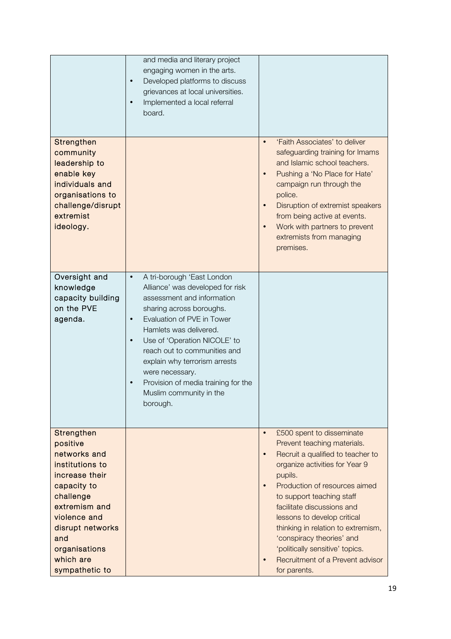|                                                                                                                                                                                                                     | and media and literary project<br>engaging women in the arts.<br>Developed platforms to discuss<br>$\bullet$<br>grievances at local universities.<br>Implemented a local referral<br>$\bullet$<br>board.                                                                                                                                                                                                                  |                                                                                                                                                                                                                                                                                                                                                                                                                                                                        |
|---------------------------------------------------------------------------------------------------------------------------------------------------------------------------------------------------------------------|---------------------------------------------------------------------------------------------------------------------------------------------------------------------------------------------------------------------------------------------------------------------------------------------------------------------------------------------------------------------------------------------------------------------------|------------------------------------------------------------------------------------------------------------------------------------------------------------------------------------------------------------------------------------------------------------------------------------------------------------------------------------------------------------------------------------------------------------------------------------------------------------------------|
| Strengthen<br>community<br>leadership to<br>enable key<br>individuals and<br>organisations to<br>challenge/disrupt<br>extremist<br>ideology.                                                                        |                                                                                                                                                                                                                                                                                                                                                                                                                           | 'Faith Associates' to deliver<br>$\bullet$<br>safeguarding training for Imams<br>and Islamic school teachers.<br>Pushing a 'No Place for Hate'<br>$\bullet$<br>campaign run through the<br>police.<br>Disruption of extremist speakers<br>$\bullet$<br>from being active at events.<br>Work with partners to prevent<br>$\bullet$<br>extremists from managing<br>premises.                                                                                             |
| Oversight and<br>knowledge<br>capacity building<br>on the PVE<br>agenda.                                                                                                                                            | A tri-borough 'East London<br>$\bullet$<br>Alliance' was developed for risk<br>assessment and information<br>sharing across boroughs.<br>Evaluation of PVE in Tower<br>$\bullet$<br>Hamlets was delivered.<br>Use of 'Operation NICOLE' to<br>$\bullet$<br>reach out to communities and<br>explain why terrorism arrests<br>were necessary.<br>Provision of media training for the<br>Muslim community in the<br>borough. |                                                                                                                                                                                                                                                                                                                                                                                                                                                                        |
| Strengthen<br>positive<br>networks and<br>institutions to<br>increase their<br>capacity to<br>challenge<br>extremism and<br>violence and<br>disrupt networks<br>and<br>organisations<br>which are<br>sympathetic to |                                                                                                                                                                                                                                                                                                                                                                                                                           | £500 spent to disseminate<br>$\bullet$<br>Prevent teaching materials.<br>Recruit a qualified to teacher to<br>$\bullet$<br>organize activities for Year 9<br>pupils.<br>Production of resources aimed<br>$\bullet$<br>to support teaching staff<br>facilitate discussions and<br>lessons to develop critical<br>thinking in relation to extremism,<br>'conspiracy theories' and<br>'politically sensitive' topics.<br>Recruitment of a Prevent advisor<br>for parents. |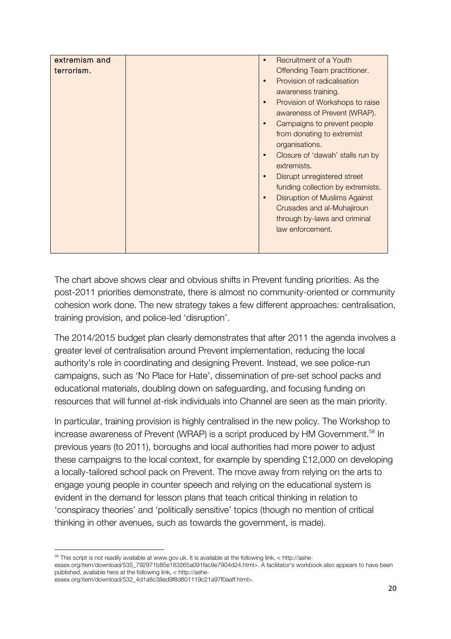| extremism and<br>terrorism. | Recruitment of a Youth<br>Offending Team practitioner.<br>Provision of radicalisation<br>$\bullet$<br>awareness training.<br>Provision of Workshops to raise<br>$\bullet$<br>awareness of Prevent (WRAP).<br>Campaigns to prevent people<br>from donating to extremist<br>organisations.<br>Closure of 'dawah' stalls run by<br>extremists.<br>Disrupt unregistered street<br>funding collection by extremists.<br>Disruption of Muslims Against<br>Crusades and al-Muhajiroun<br>through by-laws and criminal<br>law enforcement. |
|-----------------------------|------------------------------------------------------------------------------------------------------------------------------------------------------------------------------------------------------------------------------------------------------------------------------------------------------------------------------------------------------------------------------------------------------------------------------------------------------------------------------------------------------------------------------------|
|-----------------------------|------------------------------------------------------------------------------------------------------------------------------------------------------------------------------------------------------------------------------------------------------------------------------------------------------------------------------------------------------------------------------------------------------------------------------------------------------------------------------------------------------------------------------------|

The chart above shows clear and obvious shifts in Prevent funding priorities. As the post-2011 priorities demonstrate, there is almost no community-oriented or community cohesion work done. The new strategy takes a few different approaches: centralisation, training provision, and police-led 'disruption'.

The 2014/2015 budget plan clearly demonstrates that after 2011 the agenda involves a greater level of centralisation around Prevent implementation, reducing the local authority's role in coordinating and designing Prevent. Instead, we see police-run campaigns, such as 'No Place for Hate', dissemination of pre-set school packs and educational materials, doubling down on safeguarding, and focusing funding on resources that will funnel at-risk individuals into Channel are seen as the main priority.

In particular, training provision is highly centralised in the new policy. The Workshop to increase awareness of Prevent (WRAP) is a script produced by HM Government.<sup>58</sup> In previous years (to 2011), boroughs and local authorities had more power to adjust these campaigns to the local context, for example by spending £12,000 on developing a locally-tailored school pack on Prevent. The move away from relying on the arts to engage young people in counter speech and relying on the educational system is evident in the demand for lesson plans that teach critical thinking in relation to 'conspiracy theories' and 'politically sensitive' topics (though no mention of critical thinking in other avenues, such as towards the government, is made).

<sup>!!!!!!!!!!!!!!!!!!!!!!!!!!!!!!!!!!!!!!!!!!!!!!!!!!!!!!!!!!!!</sup>  $58$  This script is not readily available at www.gov.uk. It is available at the following link,  $\lt$  http://ashe-

essex.org/item/download/535\_792971b85e183265a091fac9e7904d24.html>. A facilitator's workbook also appears to have been published, available here at the following link, < http://ashe-

essex.org/item/download/532\_4d1a8c38ed9f8d801119c21a97f0aaff.html>.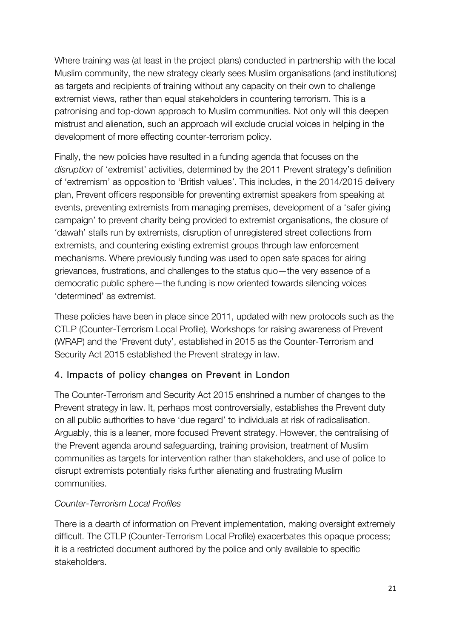Where training was (at least in the project plans) conducted in partnership with the local Muslim community, the new strategy clearly sees Muslim organisations (and institutions) as targets and recipients of training without any capacity on their own to challenge extremist views, rather than equal stakeholders in countering terrorism. This is a patronising and top-down approach to Muslim communities. Not only will this deepen mistrust and alienation, such an approach will exclude crucial voices in helping in the development of more effecting counter-terrorism policy.

Finally, the new policies have resulted in a funding agenda that focuses on the *disruption* of 'extremist' activities, determined by the 2011 Prevent strategy's definition of 'extremism' as opposition to 'British values'. This includes, in the 2014/2015 delivery plan, Prevent officers responsible for preventing extremist speakers from speaking at events, preventing extremists from managing premises, development of a 'safer giving campaign' to prevent charity being provided to extremist organisations, the closure of 'dawah' stalls run by extremists, disruption of unregistered street collections from extremists, and countering existing extremist groups through law enforcement mechanisms. Where previously funding was used to open safe spaces for airing grievances, frustrations, and challenges to the status quo—the very essence of a democratic public sphere—the funding is now oriented towards silencing voices 'determined' as extremist.

These policies have been in place since 2011, updated with new protocols such as the CTLP (Counter-Terrorism Local Profile), Workshops for raising awareness of Prevent (WRAP) and the 'Prevent duty', established in 2015 as the Counter-Terrorism and Security Act 2015 established the Prevent strategy in law.

### 4. Impacts of policy changes on Prevent in London

The Counter-Terrorism and Security Act 2015 enshrined a number of changes to the Prevent strategy in law. It, perhaps most controversially, establishes the Prevent duty on all public authorities to have 'due regard' to individuals at risk of radicalisation. Arguably, this is a leaner, more focused Prevent strategy. However, the centralising of the Prevent agenda around safeguarding, training provision, treatment of Muslim communities as targets for intervention rather than stakeholders, and use of police to disrupt extremists potentially risks further alienating and frustrating Muslim communities.

### *Counter-Terrorism Local Profiles*

There is a dearth of information on Prevent implementation, making oversight extremely difficult. The CTLP (Counter-Terrorism Local Profile) exacerbates this opaque process; it is a restricted document authored by the police and only available to specific stakeholders.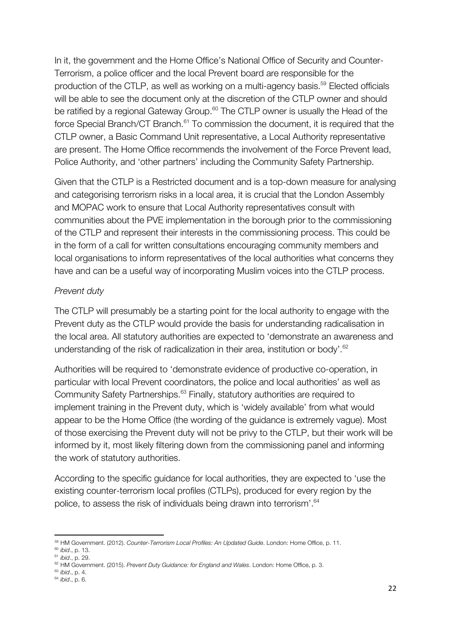In it, the government and the Home Office's National Office of Security and Counter-Terrorism, a police officer and the local Prevent board are responsible for the production of the CTLP, as well as working on a multi-agency basis.<sup>59</sup> Elected officials will be able to see the document only at the discretion of the CTLP owner and should be ratified by a regional Gateway Group.<sup>60</sup> The CTLP owner is usually the Head of the force Special Branch/CT Branch.<sup>61</sup> To commission the document, it is required that the CTLP owner, a Basic Command Unit representative, a Local Authority representative are present. The Home Office recommends the involvement of the Force Prevent lead, Police Authority, and 'other partners' including the Community Safety Partnership.

Given that the CTLP is a Restricted document and is a top-down measure for analysing and categorising terrorism risks in a local area, it is crucial that the London Assembly and MOPAC work to ensure that Local Authority representatives consult with communities about the PVE implementation in the borough prior to the commissioning of the CTLP and represent their interests in the commissioning process. This could be in the form of a call for written consultations encouraging community members and local organisations to inform representatives of the local authorities what concerns they have and can be a useful way of incorporating Muslim voices into the CTLP process.

#### *Prevent duty*

The CTLP will presumably be a starting point for the local authority to engage with the Prevent duty as the CTLP would provide the basis for understanding radicalisation in the local area. All statutory authorities are expected to 'demonstrate an awareness and understanding of the risk of radicalization in their area, institution or body'.<sup>62</sup>

Authorities will be required to 'demonstrate evidence of productive co-operation, in particular with local Prevent coordinators, the police and local authorities' as well as Community Safety Partnerships.<sup>63</sup> Finally, statutory authorities are required to implement training in the Prevent duty, which is 'widely available' from what would appear to be the Home Office (the wording of the guidance is extremely vague). Most of those exercising the Prevent duty will not be privy to the CTLP, but their work will be informed by it, most likely filtering down from the commissioning panel and informing the work of statutory authorities.

According to the specific guidance for local authorities, they are expected to 'use the existing counter-terrorism local profiles (CTLPs), produced for every region by the police, to assess the risk of individuals being drawn into terrorism'.<sup>64</sup>

<sup>!!!!!!!!!!!!!!!!!!!!!!!!!!!!!!!!!!!!!!!!!!!!!!!!!!!!!!!!!!!!</sup> <sup>59</sup> HM Government. (2012). *Counter-Terrorism Local Profiles: An Updated Guide*. London: Home Office, p. 11.

<sup>60</sup> *ibid*., p. 13.

<sup>61</sup> *ibid*., p. 29.

<sup>62</sup> HM Government. (2015). *Prevent Duty Guidance: for England and Wales*. London: Home Office, p. 3. 63 *ibid*., p. 4.

<sup>64</sup> *ibid*., p. 6.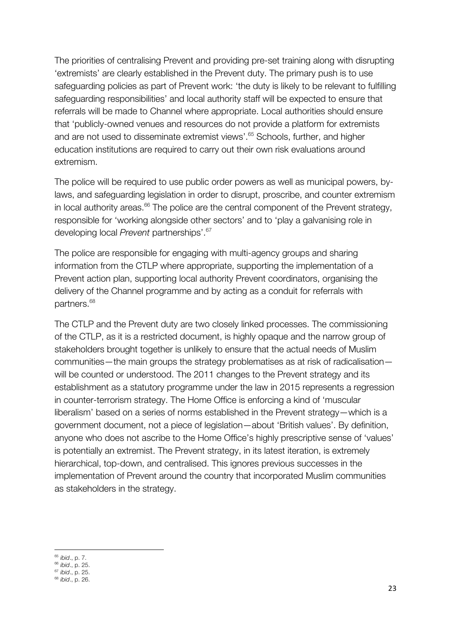The priorities of centralising Prevent and providing pre-set training along with disrupting 'extremists' are clearly established in the Prevent duty. The primary push is to use safeguarding policies as part of Prevent work: 'the duty is likely to be relevant to fulfilling safeguarding responsibilities' and local authority staff will be expected to ensure that referrals will be made to Channel where appropriate. Local authorities should ensure that 'publicly-owned venues and resources do not provide a platform for extremists and are not used to disseminate extremist views'. <sup>65</sup> Schools, further, and higher education institutions are required to carry out their own risk evaluations around extremism.

The police will be required to use public order powers as well as municipal powers, bylaws, and safeguarding legislation in order to disrupt, proscribe, and counter extremism in local authority areas.<sup>66</sup> The police are the central component of the Prevent strategy, responsible for 'working alongside other sectors' and to 'play a galvanising role in developing local *Prevent* partnerships'.67

The police are responsible for engaging with multi-agency groups and sharing information from the CTLP where appropriate, supporting the implementation of a Prevent action plan, supporting local authority Prevent coordinators, organising the delivery of the Channel programme and by acting as a conduit for referrals with partners.<sup>68</sup>

The CTLP and the Prevent duty are two closely linked processes. The commissioning of the CTLP, as it is a restricted document, is highly opaque and the narrow group of stakeholders brought together is unlikely to ensure that the actual needs of Muslim communities—the main groups the strategy problematises as at risk of radicalisation will be counted or understood. The 2011 changes to the Prevent strategy and its establishment as a statutory programme under the law in 2015 represents a regression in counter-terrorism strategy. The Home Office is enforcing a kind of 'muscular liberalism' based on a series of norms established in the Prevent strategy—which is a government document, not a piece of legislation—about 'British values'. By definition, anyone who does not ascribe to the Home Office's highly prescriptive sense of 'values' is potentially an extremist. The Prevent strategy, in its latest iteration, is extremely hierarchical, top-down, and centralised. This ignores previous successes in the implementation of Prevent around the country that incorporated Muslim communities as stakeholders in the strategy.

<sup>!!!!!!!!!!!!!!!!!!!!!!!!!!!!!!!!!!!!!!!!!!!!!!!!!!!!!!!!!!!!</sup> <sup>65</sup> *ibid*., p. 7.

<sup>66</sup> *ibid*., p. 25.

<sup>67</sup> *ibid*., p. 25.

<sup>68</sup> *ibid*., p. 26.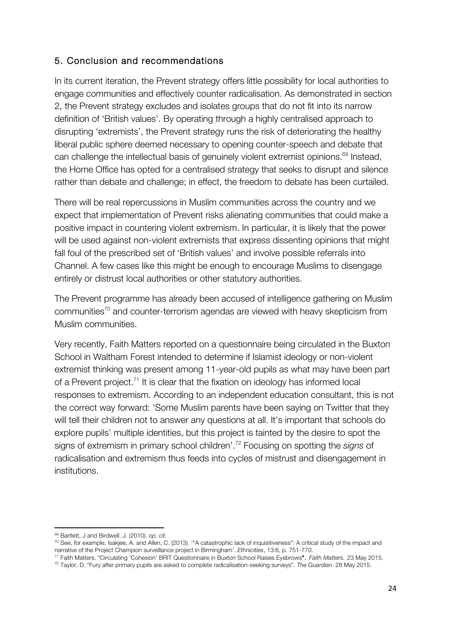#### 5. Conclusion and recommendations

In its current iteration, the Prevent strategy offers little possibility for local authorities to engage communities and effectively counter radicalisation. As demonstrated in section 2, the Prevent strategy excludes and isolates groups that do not fit into its narrow definition of 'British values'. By operating through a highly centralised approach to disrupting 'extremists', the Prevent strategy runs the risk of deteriorating the healthy liberal public sphere deemed necessary to opening counter-speech and debate that can challenge the intellectual basis of genuinely violent extremist opinions.<sup>69</sup> Instead, the Home Office has opted for a centralised strategy that seeks to disrupt and silence rather than debate and challenge; in effect, the freedom to debate has been curtailed.

There will be real repercussions in Muslim communities across the country and we expect that implementation of Prevent risks alienating communities that could make a positive impact in countering violent extremism. In particular, it is likely that the power will be used against non-violent extremists that express dissenting opinions that might fall foul of the prescribed set of 'British values' and involve possible referrals into Channel. A few cases like this might be enough to encourage Muslims to disengage entirely or distrust local authorities or other statutory authorities.

The Prevent programme has already been accused of intelligence gathering on Muslim communities70 and counter-terrorism agendas are viewed with heavy skepticism from Muslim communities.

Very recently, Faith Matters reported on a questionnaire being circulated in the Buxton School in Waltham Forest intended to determine if Islamist ideology or non-violent extremist thinking was present among 11-year-old pupils as what may have been part of a Prevent project.<sup>71</sup> It is clear that the fixation on ideology has informed local responses to extremism. According to an independent education consultant, this is not the correct way forward: 'Some Muslim parents have been saying on Twitter that they will tell their children not to answer any questions at all. It's important that schools do explore pupils' multiple identities, but this project is tainted by the desire to spot the signs of extremism in primary school children'.72 Focusing on spotting the *signs* of radicalisation and extremism thus feeds into cycles of mistrust and disengagement in institutions.

<sup>!!!!!!!!!!!!!!!!!!!!!!!!!!!!!!!!!!!!!!!!!!!!!!!!!!!!!!!!!!!!</sup> <sup>69</sup> Bartlett, J and Birdwell, J. (2010). *op. cit.*

 $70$  See, for example, Isakjee, A. and Allen, C. (2013). "A catastrophic lack of inquisitiveness": A critical study of the impact and narrative of the Project Champion surveillance project in Birmingham'. *Ethnicities*, 13:6, p. 751-770.

<sup>71</sup> Faith Matters. "Circulating 'Cohesion' BRIT Questionnaire in Buxton School Raises Eyebrows". *Faith Matters.* 23 May 2015.

<sup>72</sup> Taylor, D. "Fury after primary pupils are asked to complete radicalisation-seeking surveys". *The Guardian*. 28 May 2015.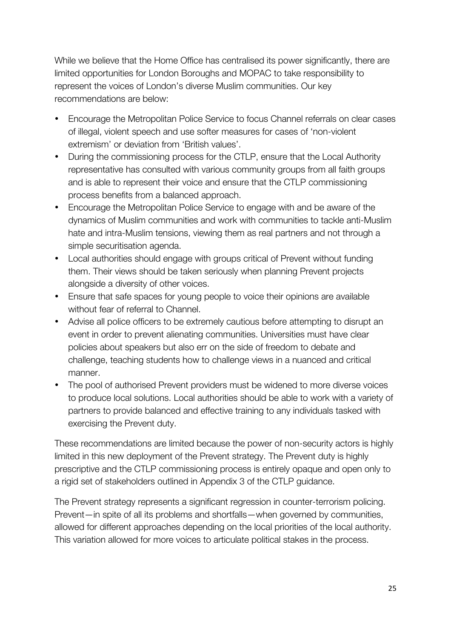While we believe that the Home Office has centralised its power significantly, there are limited opportunities for London Boroughs and MOPAC to take responsibility to represent the voices of London's diverse Muslim communities. Our key recommendations are below:

- Encourage the Metropolitan Police Service to focus Channel referrals on clear cases of illegal, violent speech and use softer measures for cases of 'non-violent extremism' or deviation from 'British values'.
- During the commissioning process for the CTLP, ensure that the Local Authority representative has consulted with various community groups from all faith groups and is able to represent their voice and ensure that the CTLP commissioning process benefits from a balanced approach.
- Encourage the Metropolitan Police Service to engage with and be aware of the dynamics of Muslim communities and work with communities to tackle anti-Muslim hate and intra-Muslim tensions, viewing them as real partners and not through a simple securitisation agenda.
- Local authorities should engage with groups critical of Prevent without funding them. Their views should be taken seriously when planning Prevent projects alongside a diversity of other voices.
- Ensure that safe spaces for young people to voice their opinions are available without fear of referral to Channel.
- Advise all police officers to be extremely cautious before attempting to disrupt an event in order to prevent alienating communities. Universities must have clear policies about speakers but also err on the side of freedom to debate and challenge, teaching students how to challenge views in a nuanced and critical manner.
- The pool of authorised Prevent providers must be widened to more diverse voices to produce local solutions. Local authorities should be able to work with a variety of partners to provide balanced and effective training to any individuals tasked with exercising the Prevent duty.

These recommendations are limited because the power of non-security actors is highly limited in this new deployment of the Prevent strategy. The Prevent duty is highly prescriptive and the CTLP commissioning process is entirely opaque and open only to a rigid set of stakeholders outlined in Appendix 3 of the CTLP guidance.

The Prevent strategy represents a significant regression in counter-terrorism policing. Prevent—in spite of all its problems and shortfalls—when governed by communities, allowed for different approaches depending on the local priorities of the local authority. This variation allowed for more voices to articulate political stakes in the process.